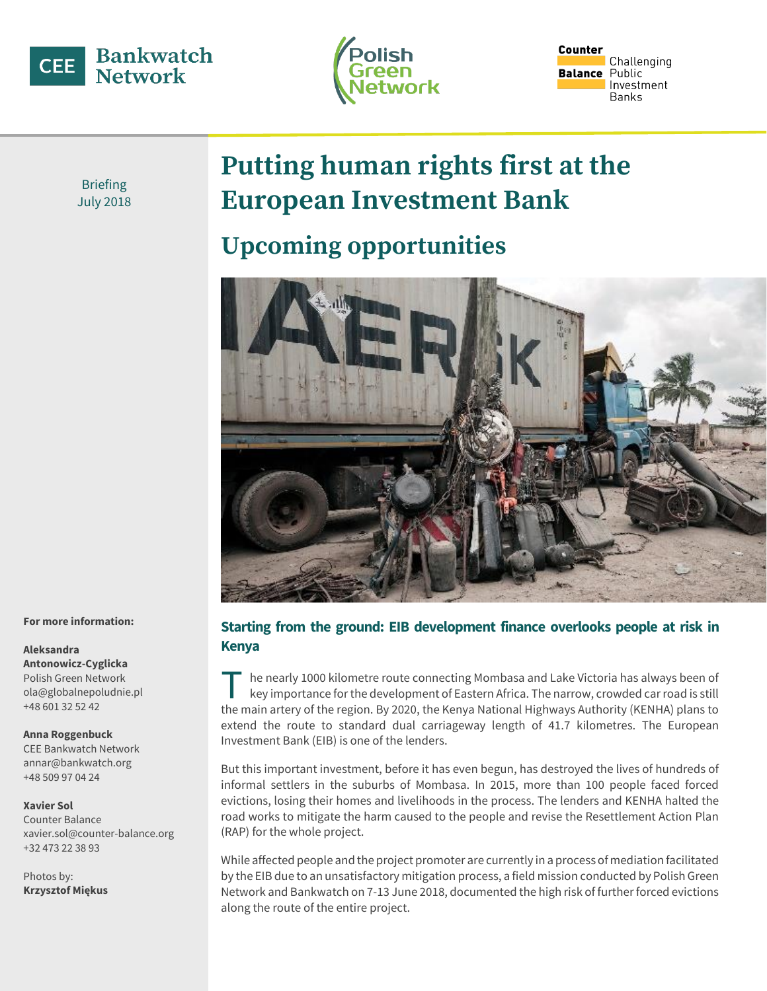



Counter Challenging **Balance** Public Investment **Banks** 

Briefing July 2018

# **Putting human rights first at the European Investment Bank**

## **Upcoming opportunities**



## **Starting from the ground: EIB development finance overlooks people at risk in Kenya**

he nearly 1000 kilometre route connecting Mombasa and Lake Victoria has always been of key importance for the development of Eastern Africa. The narrow, crowded car road is still The nearly 1000 kilometre route connecting Mombasa and Lake Victoria has always been of<br>key importance for the development of Eastern Africa. The narrow, crowded car road is still<br>the main artery of the region. By 2020, th extend the route to standard dual carriageway length of 41.7 kilometres. The European Investment Bank (EIB) is one of the lenders.

But this important investment, before it has even begun, has destroyed the lives of hundreds of informal settlers in the suburbs of Mombasa. In 2015, more than 100 people faced forced evictions, losing their homes and livelihoods in the process. The lenders and KENHA halted the road works to mitigate the harm caused to the people and revise the Resettlement Action Plan (RAP) for the whole project.

While affected people and the project promoter are currently in a process of mediation facilitated by the EIB due to an unsatisfactory mitigation process, a field mission conducted by Polish Green Network and Bankwatch on 7-13 June 2018, documented the high risk of further forced evictions along the route of the entire project.

#### **For more information:**

## **Aleksandra Antonowicz-Cyglicka** Polish Green Network

ola@globalnepoludnie.pl +48 601 32 52 42

#### **Anna Roggenbuck**

CEE Bankwatch Network annar@bankwatch.org +48 509 97 04 24

#### **Xavier Sol**

Counter Balance xavier.sol@counter-balance.org +32 473 22 38 93

Photos by: **Krzysztof Miękus**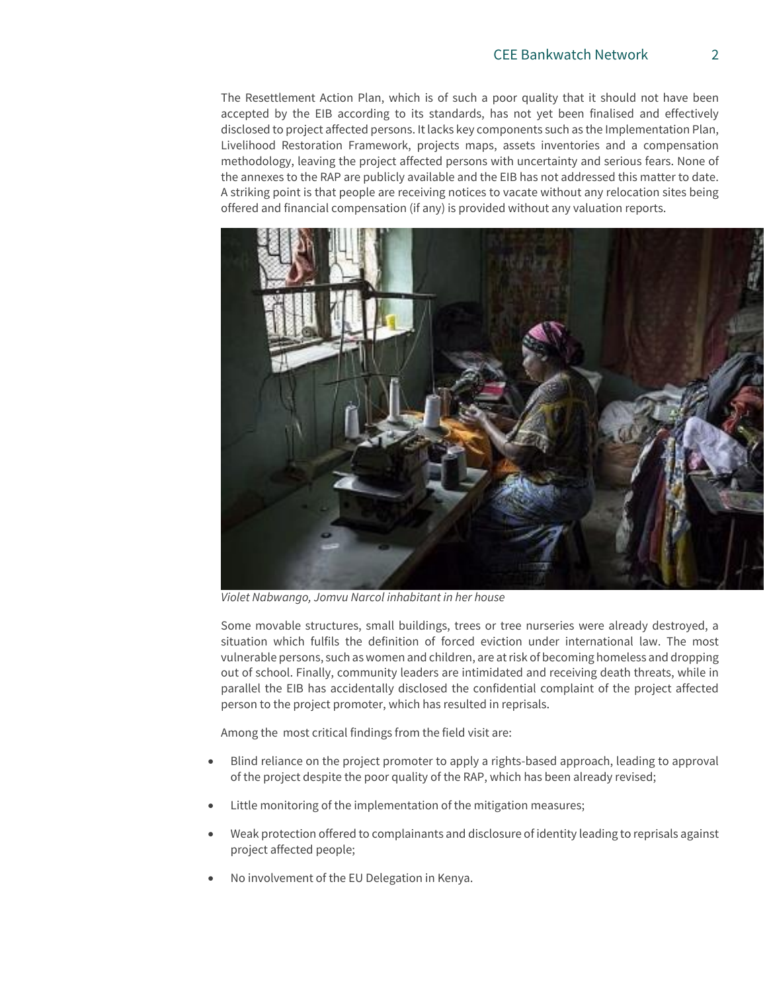The Resettlement Action Plan, which is of such a poor quality that it should not have been accepted by the EIB according to its standards, has not yet been finalised and effectively disclosed to project affected persons. It lacks key components such as the Implementation Plan, Livelihood Restoration Framework, projects maps, assets inventories and a compensation methodology, leaving the project affected persons with uncertainty and serious fears. None of the annexes to the RAP are publicly available and the EIB has not addressed this matter to date. A striking point is that people are receiving notices to vacate without any relocation sites being offered and financial compensation (if any) is provided without any valuation reports.



*Violet Nabwango, Jomvu Narcol inhabitant in her house*

Some movable structures, small buildings, trees or tree nurseries were already destroyed, a situation which fulfils the definition of forced eviction under international law. The most vulnerable persons, such as women and children, are at risk of becoming homeless and dropping out of school. Finally, community leaders are intimidated and receiving death threats, while in parallel the EIB has accidentally disclosed the confidential complaint of the project affected person to the project promoter, which has resulted in reprisals.

Among the most critical findings from the field visit are:

- Blind reliance on the project promoter to apply a rights-based approach, leading to approval of the project despite the poor quality of the RAP, which has been already revised;
- Little monitoring of the implementation of the mitigation measures;
- Weak protection offered to complainants and disclosure of identity leading to reprisals against project affected people;
- No involvement of the EU Delegation in Kenya.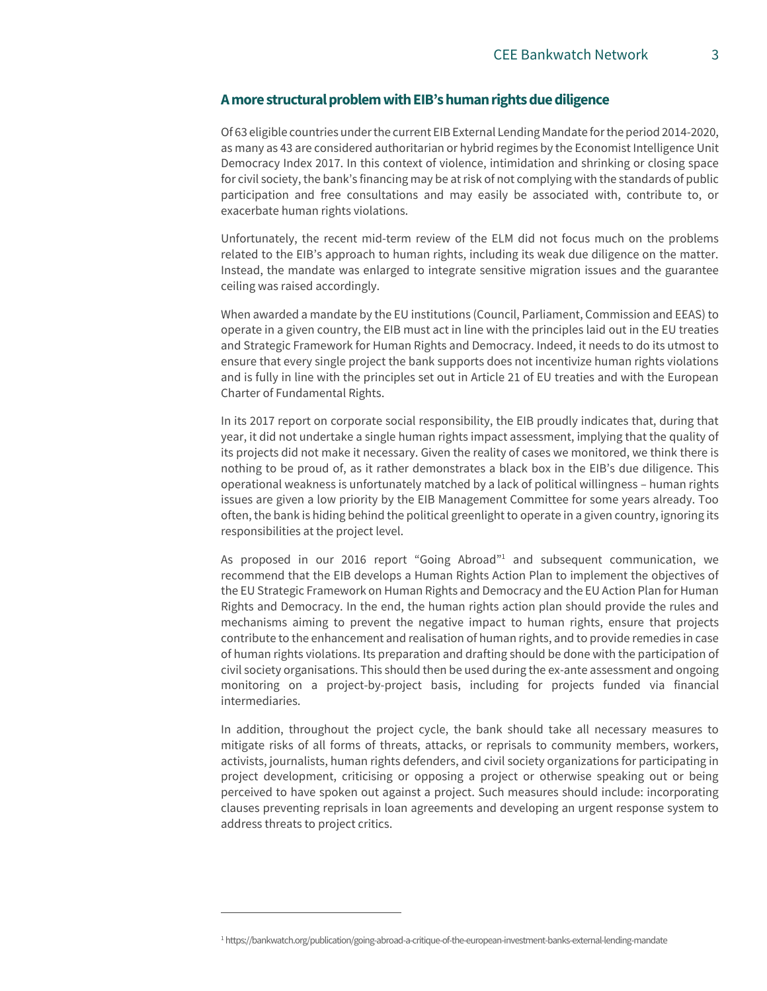### **A more structural problem with EIB's human rights due diligence**

Of 63 eligible countries under the current EIB External Lending Mandate for the period 2014-2020, as many as 43 are considered authoritarian or hybrid regimes by the Economist Intelligence Unit Democracy Index 2017. In this context of violence, intimidation and shrinking or closing space for civil society, the bank's financing may be at risk of not complying with the standards of public participation and free consultations and may easily be associated with, contribute to, or exacerbate human rights violations.

Unfortunately, the recent mid-term review of the ELM did not focus much on the problems related to the EIB's approach to human rights, including its weak due diligence on the matter. Instead, the mandate was enlarged to integrate sensitive migration issues and the guarantee ceiling was raised accordingly.

When awarded a mandate by the EU institutions (Council, Parliament, Commission and EEAS) to operate in a given country, the EIB must act in line with the principles laid out in the EU treaties and Strategic Framework for Human Rights and Democracy. Indeed, it needs to do its utmost to ensure that every single project the bank supports does not incentivize human rights violations and is fully in line with the principles set out in Article 21 of EU treaties and with the European Charter of Fundamental Rights.

In its 2017 report on corporate social responsibility, the EIB proudly indicates that, during that year, it did not undertake a single human rights impact assessment, implying that the quality of its projects did not make it necessary. Given the reality of cases we monitored, we think there is nothing to be proud of, as it rather demonstrates a black box in the EIB's due diligence. This operational weakness is unfortunately matched by a lack of political willingness – human rights issues are given a low priority by the EIB Management Committee for some years already. Too often, the bank is hiding behind the political greenlight to operate in a given country, ignoring its responsibilities at the project level.

As proposed in our 2016 report "Going Abroad" $1$  and subsequent communication, we recommend that the EIB develops a Human Rights Action Plan to implement the objectives of the EU Strategic Framework on Human Rights and Democracy and the EU Action Plan for Human Rights and Democracy. In the end, the human rights action plan should provide the rules and mechanisms aiming to prevent the negative impact to human rights, ensure that projects contribute to the enhancement and realisation of human rights, and to provide remedies in case of human rights violations. Its preparation and drafting should be done with the participation of civil society organisations. This should then be used during the ex-ante assessment and ongoing monitoring on a project-by-project basis, including for projects funded via financial intermediaries.

In addition, throughout the project cycle, the bank should take all necessary measures to mitigate risks of all forms of threats, attacks, or reprisals to community members, workers, activists, journalists, human rights defenders, and civil society organizations for participating in project development, criticising or opposing a project or otherwise speaking out or being perceived to have spoken out against a project. Such measures should include: incorporating clauses preventing reprisals in loan agreements and developing an urgent response system to address threats to project critics.

 $\overline{a}$ 

<sup>1</sup> https://bankwatch.org/publication/going-abroad-a-critique-of-the-european-investment-banks-external-lending-mandate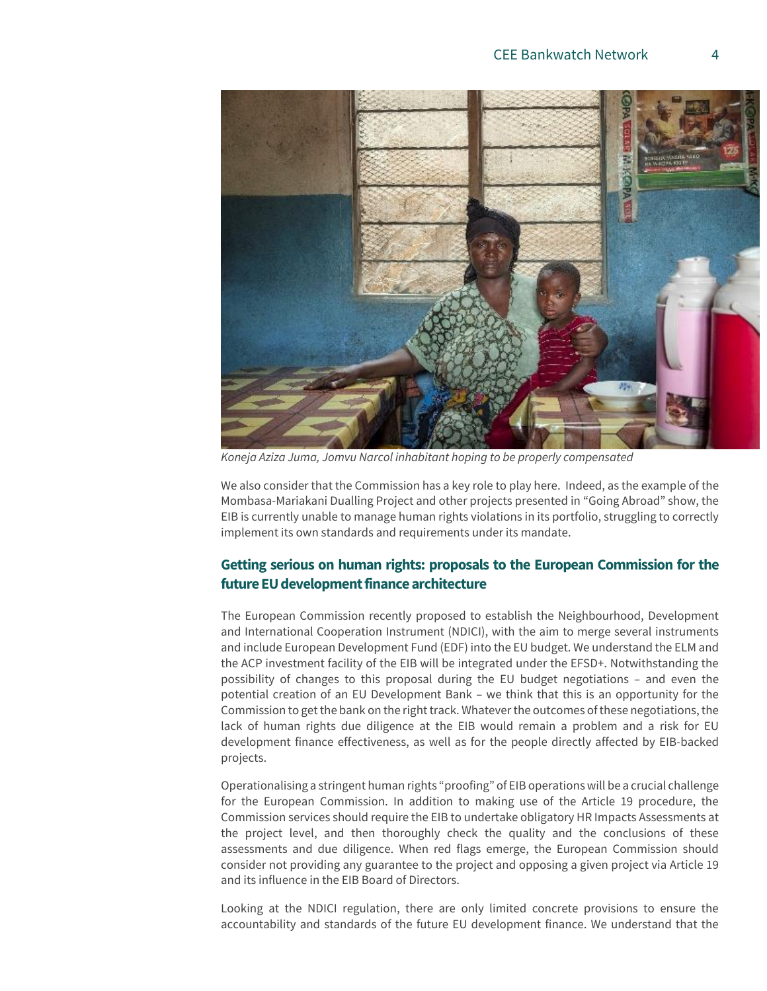

*Koneja Aziza Juma, Jomvu Narcol inhabitant hoping to be properly compensated*

We also consider that the Commission has a key role to play here. Indeed, as the example of the Mombasa-Mariakani Dualling Project and other projects presented in "Going Abroad" show, the EIB is currently unable to manage human rights violations in its portfolio, struggling to correctly implement its own standards and requirements under its mandate.

## **Getting serious on human rights: proposals to the European Commission for the future EU development finance architecture**

The European Commission recently proposed to establish the Neighbourhood, Development and International Cooperation Instrument (NDICI), with the aim to merge several instruments and include European Development Fund (EDF) into the EU budget. We understand the ELM and the ACP investment facility of the EIB will be integrated under the EFSD+. Notwithstanding the possibility of changes to this proposal during the EU budget negotiations – and even the potential creation of an EU Development Bank – we think that this is an opportunity for the Commission to get the bank on the right track. Whatever the outcomes of these negotiations, the lack of human rights due diligence at the EIB would remain a problem and a risk for EU development finance effectiveness, as well as for the people directly affected by EIB-backed projects.

Operationalising a stringent human rights "proofing" of EIB operations will be a crucial challenge for the European Commission. In addition to making use of the Article 19 procedure, the Commission services should require the EIB to undertake obligatory HR Impacts Assessments at the project level, and then thoroughly check the quality and the conclusions of these assessments and due diligence. When red flags emerge, the European Commission should consider not providing any guarantee to the project and opposing a given project via Article 19 and its influence in the EIB Board of Directors.

Looking at the NDICI regulation, there are only limited concrete provisions to ensure the accountability and standards of the future EU development finance. We understand that the